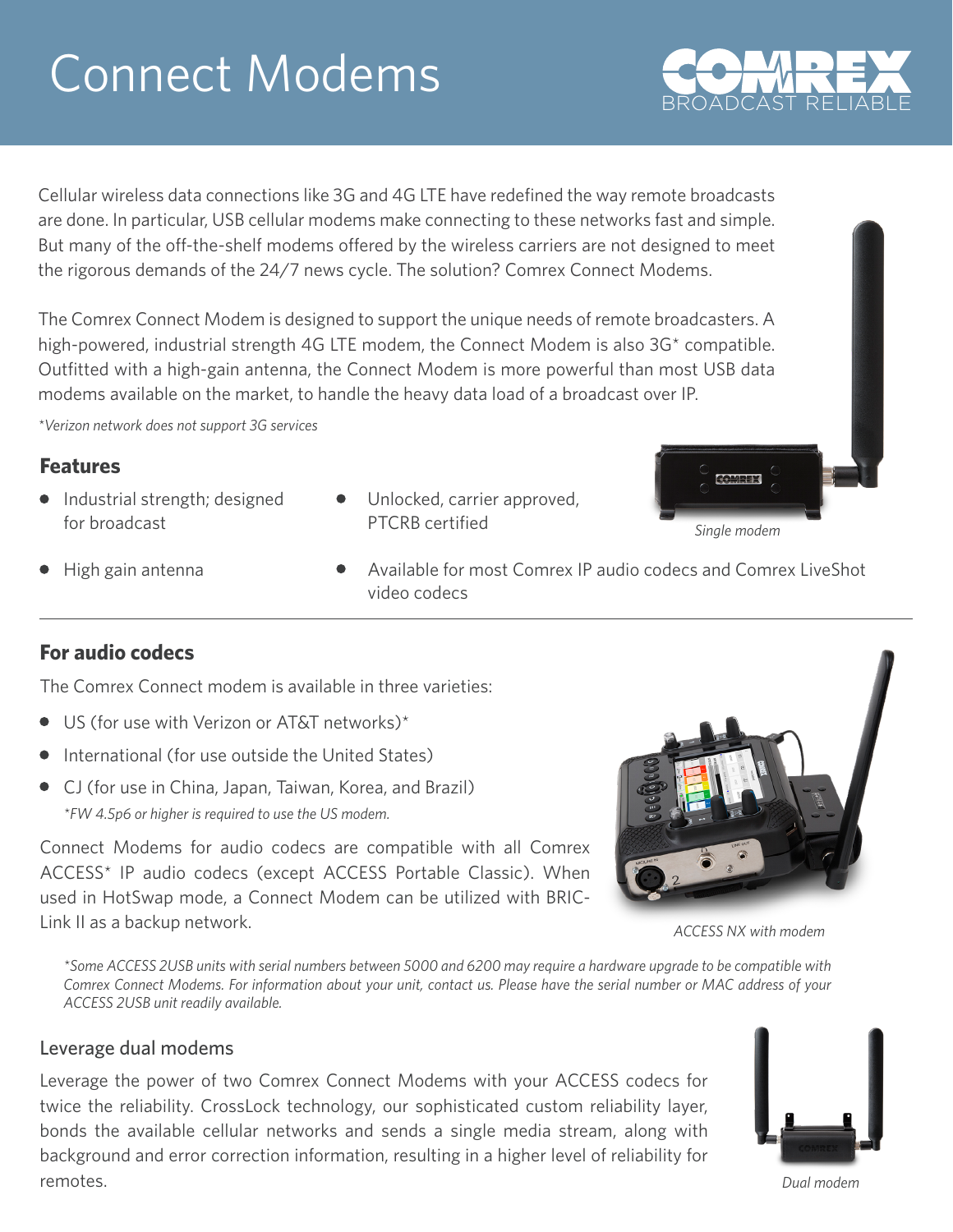# Connect Modems

Cellular wireless data connections like 3G and 4G LTE have redefined the way remote broadcasts are done. In particular, USB cellular modems make connecting to these networks fast and simple. But many of the off-the-shelf modems offered by the wireless carriers are not designed to meet the rigorous demands of the 24/7 news cycle. The solution? Comrex Connect Modems.

The Comrex Connect Modem is designed to support the unique needs of remote broadcasters. A high-powered, industrial strength 4G LTE modem, the Connect Modem is also 3G<sup>\*</sup> compatible. Outfitted with a high-gain antenna, the Connect Modem is more powerful than most USB data modems available on the market, to handle the heavy data load of a broadcast over IP.

*\*Verizon network does not support 3G services*

### **Features**

- Industrial strength; designed for broadcast
- Unlocked, carrier approved, PTCRB certified



 $\bullet$  High gain antenna

Available for most Comrex IP audio codecs and Comrex LiveShot video codecs

## **For audio codecs**

The Comrex Connect modem is available in three varieties:

- US (for use with Verizon or AT&T networks)\*
- $\bullet$  International (for use outside the United States)
- CJ (for use in China, Japan, Taiwan, Korea, and Brazil) *\*FW 4.5p6 or higher is required to use the US modem.*

Connect Modems for audio codecs are compatible with all Comrex ACCESS\* IP audio codecs (except ACCESS Portable Classic). When used in HotSwap mode, a Connect Modem can be utilized with BRIC-Link II as a backup network.

*ACCESS NX with modem*

*\*Some ACCESS 2USB units with serial numbers between 5000 and 6200 may require a hardware upgrade to be compatible with Comrex Connect Modems. For information about your unit, contact us. Please have the serial number or MAC address of your ACCESS 2USB unit readily available.*

#### Leverage dual modems

Leverage the power of two Comrex Connect Modems with your ACCESS codecs for twice the reliability. CrossLock technology, our sophisticated custom reliability layer, bonds the available cellular networks and sends a single media stream, along with background and error correction information, resulting in a higher level of reliability for remotes.



*Dual modem*